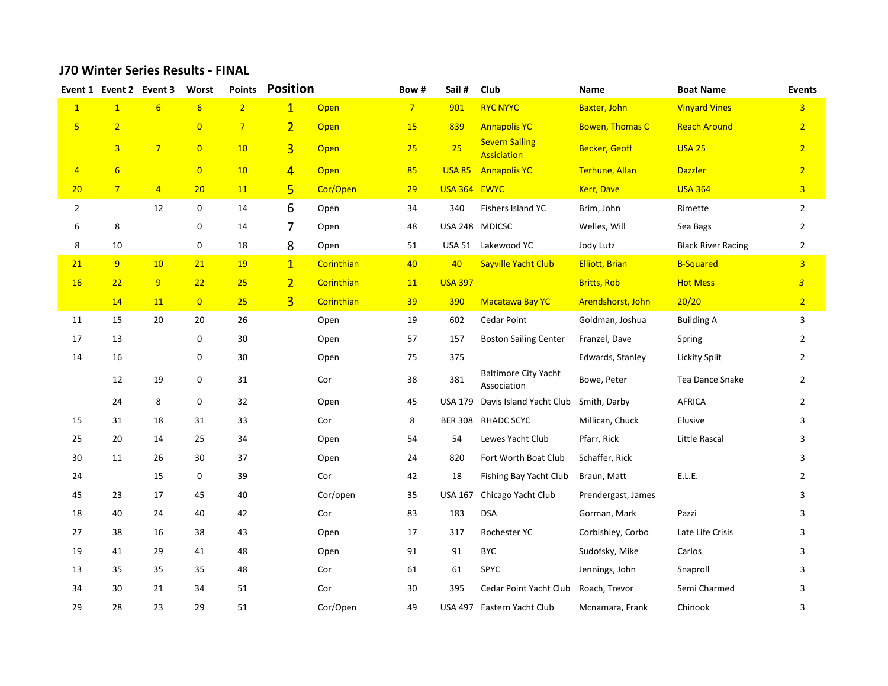## **J70 Winter Series Results - FINAL**

|                |                | Event 1 Event 2 Event 3 | Worst          | <b>Points</b>  | <b>Position</b> |            | Bow#           | Sail#          | Club                                        | Name                   | <b>Boat Name</b>          | <b>Events</b>           |
|----------------|----------------|-------------------------|----------------|----------------|-----------------|------------|----------------|----------------|---------------------------------------------|------------------------|---------------------------|-------------------------|
| $\mathbf{1}$   | $\mathbf{1}$   | $6\overline{6}$         | 6              | $\overline{2}$ | $\overline{1}$  | Open       | 7 <sup>1</sup> | 901            | <b>RYC NYYC</b>                             | Baxter, John           | <b>Vinyard Vines</b>      | $\overline{3}$          |
| $5\phantom{a}$ | $\overline{2}$ |                         | $\overline{0}$ | $\overline{7}$ | $\overline{2}$  | Open       | 15             | 839            | <b>Annapolis YC</b>                         | <b>Bowen, Thomas C</b> | <b>Reach Around</b>       | $\overline{2}$          |
|                | $\overline{3}$ | $7^{\circ}$             | $\overline{0}$ | 10             | $\overline{3}$  | Open       | 25             | 25             | <b>Severn Sailing</b><br><b>Assiciation</b> | <b>Becker, Geoff</b>   | <b>USA 25</b>             | $\overline{2}$          |
| $\overline{4}$ | $6\overline{}$ |                         | $\overline{0}$ | 10             | $\overline{4}$  | Open       | 85             | <b>USA 85</b>  | <b>Annapolis YC</b>                         | Terhune, Allan         | <b>Dazzler</b>            | $\overline{2}$          |
| 20             | $7^{\circ}$    | $\overline{4}$          | 20             | 11             | 5               | Cor/Open   | 29             | USA 364 EWYC   |                                             | Kerr, Dave             | <b>USA 364</b>            | $\overline{\mathbf{3}}$ |
| $\overline{2}$ |                | 12                      | 0              | 14             | 6               | Open       | 34             | 340            | Fishers Island YC                           | Brim, John             | Rimette                   | $\overline{2}$          |
| 6              | 8              |                         | 0              | 14             | 7               | Open       | 48             | USA 248 MDICSC |                                             | Welles, Will           | Sea Bags                  | $\overline{2}$          |
| 8              | 10             |                         | 0              | 18             | 8               | Open       | 51             | <b>USA 51</b>  | Lakewood YC                                 | Jody Lutz              | <b>Black River Racing</b> | $\overline{2}$          |
| 21             | 9              | 10                      | 21             | <b>19</b>      | $\overline{1}$  | Corinthian | 40             | 40             | Sayville Yacht Club                         | <b>Elliott, Brian</b>  | <b>B-Squared</b>          | $\overline{3}$          |
| <b>16</b>      | 22             | 9                       | 22             | 25             | $\overline{2}$  | Corinthian | 11             | <b>USA 397</b> |                                             | <b>Britts, Rob</b>     | <b>Hot Mess</b>           | $\overline{3}$          |
|                | 14             | 11                      | $\overline{0}$ | 25             | $\overline{3}$  | Corinthian | 39             | 390            | <b>Macatawa Bay YC</b>                      | Arendshorst, John      | 20/20                     | $\overline{2}$          |
| 11             | 15             | 20                      | 20             | 26             |                 | Open       | 19             | 602            | Cedar Point                                 | Goldman, Joshua        | <b>Building A</b>         | 3                       |
| 17             | 13             |                         | 0              | 30             |                 | Open       | 57             | 157            | <b>Boston Sailing Center</b>                | Franzel, Dave          | Spring                    | $\overline{2}$          |
| 14             | 16             |                         | 0              | 30             |                 | Open       | 75             | 375            |                                             | Edwards, Stanley       | Lickity Split             | $\overline{2}$          |
|                | 12             | 19                      | 0              | 31             |                 | Cor        | 38             | 381            | <b>Baltimore City Yacht</b><br>Association  | Bowe, Peter            | <b>Tea Dance Snake</b>    | $\overline{2}$          |
|                | 24             | 8                       | 0              | 32             |                 | Open       | 45             | USA 179        | Davis Island Yacht Club                     | Smith, Darby           | AFRICA                    | $\overline{2}$          |
| 15             | 31             | 18                      | 31             | 33             |                 | Cor        | 8              | <b>BER 308</b> | <b>RHADC SCYC</b>                           | Millican, Chuck        | Elusive                   | 3                       |
| 25             | 20             | 14                      | 25             | 34             |                 | Open       | 54             | 54             | Lewes Yacht Club                            | Pfarr, Rick            | Little Rascal             | 3                       |
| 30             | 11             | 26                      | 30             | 37             |                 | Open       | 24             | 820            | Fort Worth Boat Club                        | Schaffer, Rick         |                           | 3                       |
| 24             |                | 15                      | 0              | 39             |                 | Cor        | 42             | 18             | Fishing Bay Yacht Club                      | Braun, Matt            | E.L.E.                    | $\overline{2}$          |
| 45             | 23             | 17                      | 45             | 40             |                 | Cor/open   | 35             | <b>USA 167</b> | Chicago Yacht Club                          | Prendergast, James     |                           | 3                       |
| 18             | 40             | 24                      | 40             | 42             |                 | Cor        | 83             | 183            | <b>DSA</b>                                  | Gorman, Mark           | Pazzi                     | 3                       |
| 27             | 38             | 16                      | 38             | 43             |                 | Open       | 17             | 317            | Rochester YC                                | Corbishley, Corbo      | Late Life Crisis          | 3                       |
| 19             | 41             | 29                      | 41             | 48             |                 | Open       | 91             | 91             | <b>BYC</b>                                  | Sudofsky, Mike         | Carlos                    | 3                       |
| 13             | 35             | 35                      | 35             | 48             |                 | Cor        | 61             | 61             | <b>SPYC</b>                                 | Jennings, John         | Snaproll                  | 3                       |
| 34             | 30             | 21                      | 34             | 51             |                 | Cor        | 30             | 395            | Cedar Point Yacht Club                      | Roach, Trevor          | Semi Charmed              | 3                       |
| 29             | 28             | 23                      | 29             | 51             |                 | Cor/Open   | 49             |                | USA 497 Eastern Yacht Club                  | Mcnamara, Frank        | Chinook                   | 3                       |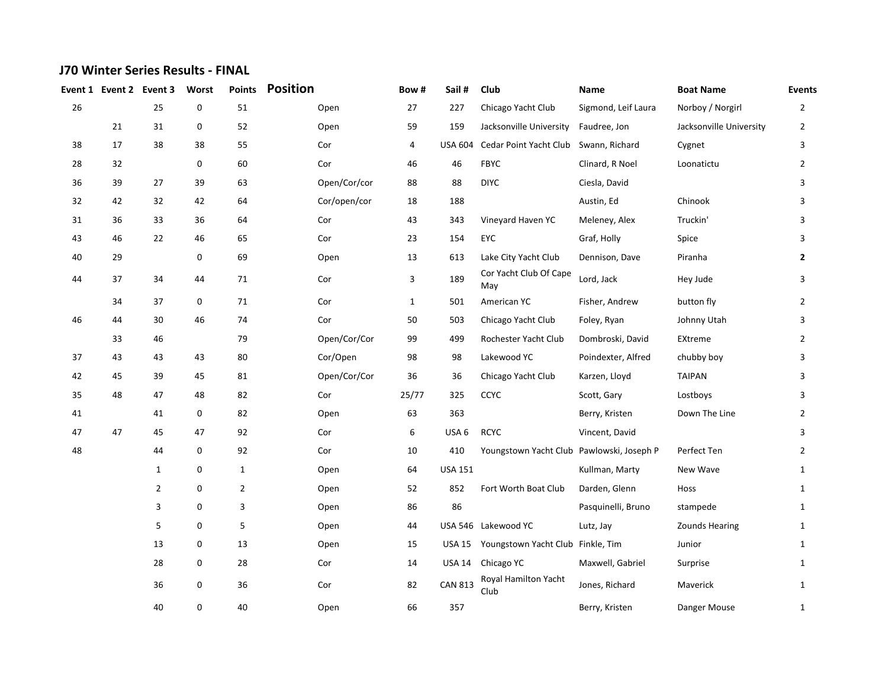## **J70 Winter Series Results - FINAL**

| Event 1 | Event 2 Event 3 |                | Worst | <b>Points</b>  | <b>Position</b> | Bow#         | Sail#          | Club                                      | Name                | <b>Boat Name</b>        | <b>Events</b>  |
|---------|-----------------|----------------|-------|----------------|-----------------|--------------|----------------|-------------------------------------------|---------------------|-------------------------|----------------|
| 26      |                 | 25             | 0     | 51             | Open            | 27           | 227            | Chicago Yacht Club                        | Sigmond, Leif Laura | Norboy / Norgirl        | $\overline{2}$ |
|         | 21              | 31             | 0     | 52             | Open            | 59           | 159            | Jacksonville University                   | Faudree, Jon        | Jacksonville University | 2              |
| 38      | 17              | 38             | 38    | 55             | Cor             | 4            |                | USA 604 Cedar Point Yacht Club            | Swann, Richard      | Cygnet                  | 3              |
| 28      | 32              |                | 0     | 60             | Cor             | 46           | 46             | <b>FBYC</b>                               | Clinard, R Noel     | Loonatictu              | $\overline{2}$ |
| 36      | 39              | 27             | 39    | 63             | Open/Cor/cor    | 88           | 88             | <b>DIYC</b>                               | Ciesla, David       |                         | 3              |
| 32      | 42              | 32             | 42    | 64             | Cor/open/cor    | 18           | 188            |                                           | Austin, Ed          | Chinook                 | 3              |
| 31      | 36              | 33             | 36    | 64             | Cor             | 43           | 343            | Vineyard Haven YC                         | Meleney, Alex       | Truckin'                | 3              |
| 43      | 46              | 22             | 46    | 65             | Cor             | 23           | 154            | EYC                                       | Graf, Holly         | Spice                   | 3              |
| 40      | 29              |                | 0     | 69             | Open            | 13           | 613            | Lake City Yacht Club                      | Dennison, Dave      | Piranha                 | $\mathbf{2}$   |
| 44      | 37              | 34             | 44    | 71             | Cor             | 3            | 189            | Cor Yacht Club Of Cape<br>May             | Lord, Jack          | Hey Jude                | 3              |
|         | 34              | 37             | 0     | $71\,$         | Cor             | $\mathbf{1}$ | 501            | American YC                               | Fisher, Andrew      | button fly              | $\overline{2}$ |
| 46      | 44              | 30             | 46    | 74             | Cor             | 50           | 503            | Chicago Yacht Club                        | Foley, Ryan         | Johnny Utah             | 3              |
|         | 33              | 46             |       | 79             | Open/Cor/Cor    | 99           | 499            | Rochester Yacht Club                      | Dombroski, David    | EXtreme                 | $\overline{2}$ |
| 37      | 43              | 43             | 43    | 80             | Cor/Open        | 98           | 98             | Lakewood YC                               | Poindexter, Alfred  | chubby boy              | 3              |
| 42      | 45              | 39             | 45    | 81             | Open/Cor/Cor    | 36           | 36             | Chicago Yacht Club                        | Karzen, Lloyd       | <b>TAIPAN</b>           | 3              |
| 35      | 48              | 47             | 48    | 82             | Cor             | 25/77        | 325            | CCYC                                      | Scott, Gary         | Lostboys                | 3              |
| 41      |                 | 41             | 0     | 82             | Open            | 63           | 363            |                                           | Berry, Kristen      | Down The Line           | $\overline{2}$ |
| 47      | 47              | 45             | 47    | 92             | Cor             | 6            | USA 6          | <b>RCYC</b>                               | Vincent, David      |                         | 3              |
| 48      |                 | 44             | 0     | 92             | Cor             | 10           | 410            | Youngstown Yacht Club Pawlowski, Joseph P |                     | Perfect Ten             | $\overline{2}$ |
|         |                 | $\mathbf{1}$   | 0     | $\mathbf{1}$   | Open            | 64           | <b>USA 151</b> |                                           | Kullman, Marty      | New Wave                | $\mathbf{1}$   |
|         |                 | $\overline{2}$ | 0     | $\overline{2}$ | Open            | 52           | 852            | Fort Worth Boat Club                      | Darden, Glenn       | Hoss                    | $\mathbf{1}$   |
|         |                 | 3              | 0     | 3              | Open            | 86           | 86             |                                           | Pasquinelli, Bruno  | stampede                | $\mathbf{1}$   |
|         |                 | 5              | 0     | 5              | Open            | 44           |                | USA 546 Lakewood YC                       | Lutz, Jay           | <b>Zounds Hearing</b>   | $\mathbf{1}$   |
|         |                 | 13             | 0     | 13             | Open            | 15           | USA 15         | Youngstown Yacht Club Finkle, Tim         |                     | Junior                  | $\mathbf{1}$   |
|         |                 | 28             | 0     | 28             | Cor             | 14           | USA 14         | Chicago YC                                | Maxwell, Gabriel    | Surprise                | $\mathbf{1}$   |
|         |                 | 36             | 0     | 36             | Cor             | 82           | <b>CAN 813</b> | Royal Hamilton Yacht<br>Club              | Jones, Richard      | Maverick                | $\mathbf{1}$   |
|         |                 | 40             | 0     | 40             | Open            | 66           | 357            |                                           | Berry, Kristen      | Danger Mouse            | $\mathbf{1}$   |